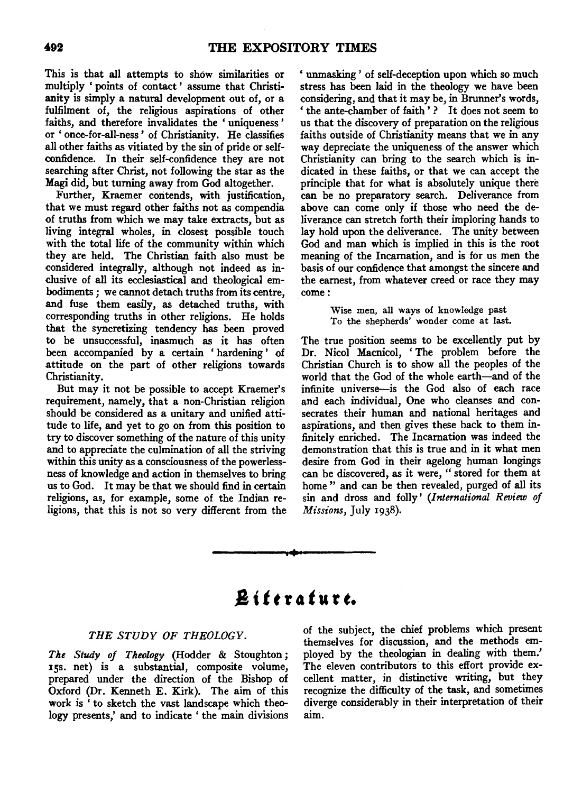This is that all attempts to show similarities or multiply ' points of contact ' assume that Christianity is simply a natural development out of, or a fulfilment of, the religious aspirations of other faiths, and therefore invalidates the ' uniqueness ' or 'once-for-all-ness' of Christianity. He classifies all other faiths as vitiated by the sin of pride or selfconfidence. In their self-confidence they are not searching after Christ, not following the star as the Magi did, but turning away from God altogether.

Further, Kraemer contends, with justification, that we must regard other faiths not as compendia of truths from which we may take extracts, but as living integral wholes, in closest possible touch with the total life of the community within which they are held. The Christian faith also must be considered integrally, although not indeed as inclusive of all its ecclesiastical and theological embodiments ; we cannot detach truths from its centre, and fuse them easily, as detached truths, with corresponding truths in other religions. He holds that the syncretizing tendency has been proved to be unsuccessful, inasmuch as it has often been accompanied by a certain ' hardening ' of attitude on the part of other religions towards Christianity.

But may it not be possible to accept Kraemer's requirement, namely, that a non-Christian religion should be considered as a unitary and unified attitude to life, and yet to go on from this position to try to discover something of the nature of this unity and to appreciate the culmination of all the striving within this unity as a consciousness of the powerlessness of knowledge and action in themselves to bring us to God. It may be that we should find in certain religions, as, for example, some of the Indian religions, that this is not so very different from the ' unmasking ' of self-deception upon which so much stress has been laid in the theology we have been considering, and that it may be, in Brunner's words, ' the ante-chamber of faith ' ? It does not seem to us that the discovery of preparation on the religious faiths outside of Christianity means that we in any way depreciate the uniqueness of the answer which Christianity can bring to the search which is indicated in these faiths, or that we can accept the principle that for what is absolutely unique there can be no preparatory search. Deliverance from above can come only if those who need the deliverance can stretch forth their imploring hands to lay hold upon the deliverance. The unity between God and man which is implied in this is the root meaning of the Incarnation, and is for us men the basis of our confidence that amongst the sincere and the earnest, from whatever creed or race they may come:

> Wise men, all ways of knowledge past To the shepherds' wonder come at last.

The true position seems to be excellently put by Dr. Nicol Macnicol, 'The problem before the Christian Church is to show all the peoples of the world that the God of the whole earth-and of the infinite universe-is the God also of each race and each individual, One who cleanses and consecrates their human and national heritages and aspirations, and then gives these back to them infinitely enriched. The Incarnation was indeed the demonstration that this is true and in it what men desire from God in their agelong human longings can be discovered, as it were, "stored for them at home" and can be then revealed, purged of all its sin and dross and folly' *(International Review of Missions,* July 1938) .

# **.8 {** *t* **t r o** *t* **u r** *t.*

••

### THE STUDY OF THEOLOGY.

*The Study of Theology* (Hodder & Stoughton ; 15s. net) is a substantial, composite volume, prepared under the direction of the Bishop of Oxford (Dr. Kenneth E. Kirk). The aim of this work is ' to sketch the vast landscape which theology presents,' and to indicate ' the main divisions of the subject, the chief problems which present themselves for discussion, and the methods employed by the theologian in dealing with them.' The eleven contributors to this effort provide excellent matter, in distinctive writing, but they recognize the difficulty of the task, and sometimes diverge considerably in their interpretation of their aim.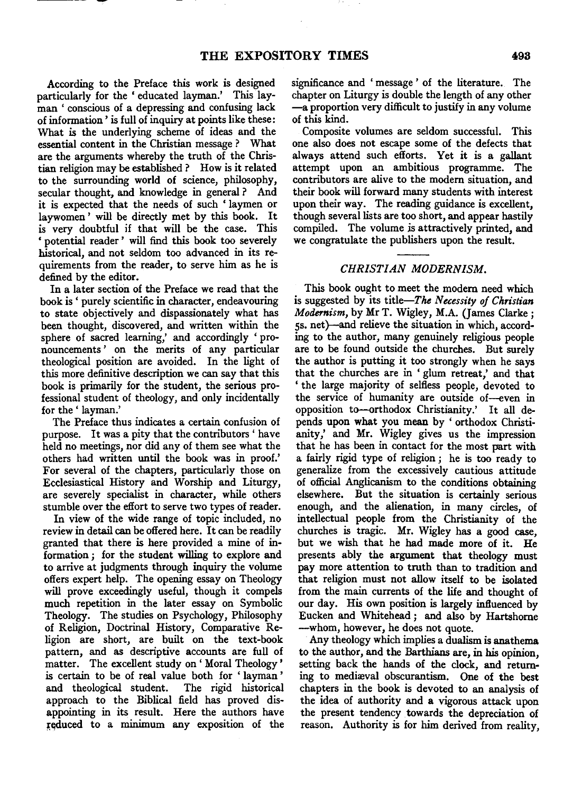According to the Preface this work is designed particularly for the 'educated layman.' This layman ' conscious of a depressing and confusing lack of information' is full of inquiry at points like these: What is the underlying scheme of ideas and the essential content in the Christian message ? What are the arguments whereby the truth of the Christian religion may be established ? How is it related to the surrounding world of science, philosophy, secular thought, and knowledge in general ? And it is expected that the needs of such 'laymen or laywomen ' will be directly met by this book. It is very doubtful if that will be the case. This ' potential reader ' will find this book too severely historical, and not seldom too advanced in its requirements from the reader, to serve him as he is defined by the editor.

In a later section of the Preface we read that the book is' purely scientific in character, endeavouring to state objectively and dispassionately what has been thought, discovered, and written within the sphere of sacred learning,' and accordingly ' pronouncements ' on the merits of any particular theological position are avoided. In the light of this more definitive description we can say that this book is primarily for the student, the serious professional student of theology, and only incidentally for the ' layman.'

The Preface thus indicates a certain confusion of purpose. It was a pity that the contributors ' have held no meetings, nor did any of them see what the others had written until the book was in proof.' For several of the chapters, particularly those on Ecclesiastical History and Worship and Liturgy, are severely specialist in character, while others stumble over the effort to serve two types of reader.

In view of the wide range of topic included, no review in detail can be offered here. It can be readily granted that there is here provided a mine of information ; for the student willing to explore and to arrive at judgments through inquiry the volume offers expert help. The opening essay on Theology will prove exceedingly useful, though it compels much repetition in the later essay on Symbolic Theology. The studies on Psychology, Philosophy of Religion, Doctrinal History, Comparative Religion are short, are built on the text-book pattern, and as descriptive accounts are full of matter. The excellent study on' Moral Theology' is certain to be of real value both for 'layman' and theological student. The rigid historical approach to the Biblical field has proved disappointing in its result. Here the authors have reduced to a minimum any exposition of the

significance and ' message ' of the literature. The chapter on Liturgy is double the length of any other -a proportion very difficult to justify in any volume of this kind.

Composite volumes are seldom successful. This one also does not escape some of the defects that always attend such efforts. Yet it is a gallant attempt upon an ambitious programme. The contributors are alive to the modern situation, and their book will forward many students with interest upon their way. The reading guidance is excellent, though several lists are too short, and appear hastily compiled. The volume is attractively printed, and we congratulate the publishers upon the result.

#### *CHRISTIAN MODERNISM.*

This book ought to meet the modern need which is suggested by its title-The *Necessity of Christian Modernism,* by Mr T. Wigley, M.A. (James Clarke; 5s. net)--and relieve the situation in which, according to the author, many genuinely religious people are to be found outside the churches. But surely the author is putting it too strongly when he says that the churches are in 'glum retreat,' and that ' the large majority of selfless people, devoted to the service of humanity are outside of-even in opposition to-orthodox Christianity.' It all depends upon what you mean by ' orthodox Christianity,' and Mr. Wigley gives us the impression that he has been in contact for the most part with a fairly rigid type of religion; he is too ready to generalize from the excessively cautious attitude of official Anglicanism to the conditions obtaining elsewhere. But the situation is certainly serious enough, and the alienation, in many circles, of intellectual people from the Christianity of the churches is tragic. Mr. Wigley has a good case, but we wish that he had made more of it. He presents ably the argument that theology must pay more attention to truth than to tradition and that religion must not allow itself to be isolated from the main currents of the life and thought of our day. His own position is largely influenced by Eucken and Whitehead ; and also by Hartshorne -whom, however, he does not quote.

Any theology which implies a dualism is anathema to the author, and the Barthians are, in his opinion, setting back the hands of the clock, and returning to mediaval obscurantism. One of the best chapters in the book is devoted to an analysis of the idea of authority and a vigorous attack upon the present tendency towards the depreciation of reason. Authority is for him derived from reality,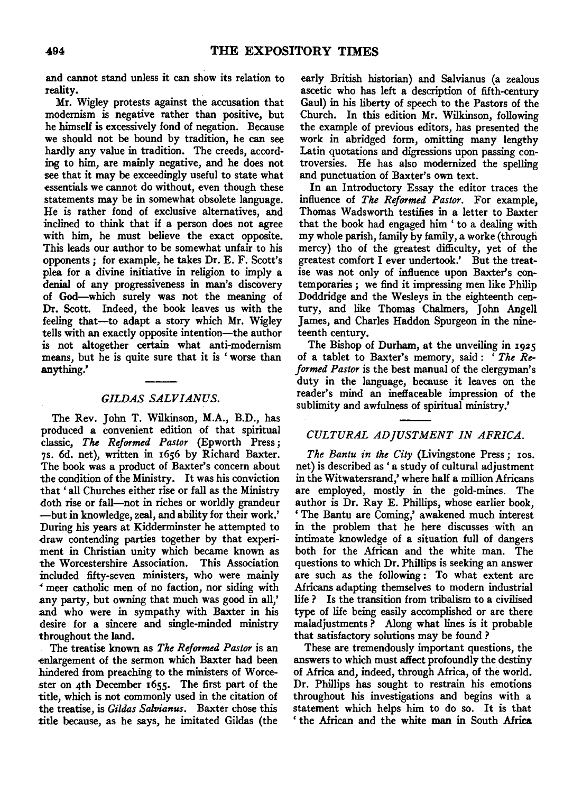and cannot stand unless it can show its relation to reality.

Mr. Wigley protests against the accusation that modernism is negative rather than positive, but he himself is excessively fond of negation. Because we should not be bound by tradition, he can see hardly any value in tradition. The creeds, according to him, are mainly negative, and he does not see that it may be exceedingly useful to state what essentials we cannot do without, even though these statements may be in somewhat obsolete language. He is rather fond of exclusive alternatives, and inclined to think that if a person does not agree with him, he must believe the exact opposite. This leads our author to be somewhat unfair to his opponents; for example, he takes Dr. E. F. Scott's plea for a divine initiative in religion to imply a denial of any progressiveness in man's discovery of God-which surely was not the meaning of Dr. Scott. Indeed, the book leaves us with the feeling that-to adapt a story which Mr. Wigley tells with an exactly opposite intention-the author is not altogether certain what anti-modernism means, but he is quite sure that it is 'worse than anything.'

### *GILDAS SALVIANUS.*

The Rev. John T. Wilkinson, M.A., B.D., has produced a convenient edition of that spiritual classic, *The Reformed Pastor* (Epworth Press ; 7s. 6d. net), written in 1656 by Richard Baxter. The book was a product of Baxter's concern about the condition of the Ministry. It was his conviction that ' all Churches either rise or fall as the Ministry doth rise or fall—not in riches or worldly grandeur -but in knowledge, zeal, and ability for their work.' During his years at Kidderminster he attempted to draw contending parties together by that experiment in Christian unity which became known as the Worcestershire Association. This Association included fifty-seven ministers, who were mainly • meer catholic men of no faction, nor siding with any party, but owning that much was good in all,' and who were in sympathy with Baxter in his desire for a sincere and single-minded ministry throughout the land.

The treatise known as *The Reformed Pastor* is an -enlargement of the sermon which Baxter had been hindered from preaching to the ministers of Worce- .ster on 4th December 1655. The first part of the title, which is not commonly used in the citation of the treatise, is *Gildas Salvianus.* Baxter chose this title because, as he says, he imitated Gildas (the

early British historian) and Salvianus (a zealous ascetic who has left a description of fifth-century Gaul) in his liberty of speech to the Pastors of the Church. In this edition Mr. Wilkinson, following the example of previous editors, has presented the work in abridged form, omitting many lengthy Latin quotations and digressions upon passing controversies. He has also modernized the spelling and punctuation of Baxter's own text.

In an Introductory Essay the editor traces the influence of *The Reformed Pastor.* For example, Thomas Wadsworth testifies in a letter to Baxter that the book had engaged him ' to a dealing with my whole parish, family by family, a worke (through mercy) tho of the greatest difficulty, yet of the greatest comfort I ever undertook.' But the treatise was not only of influence upon Baxter's contemporaries; we find it impressing men like Philip Doddridge and the Wesleys in the eighteenth century, and like Thomas Chalmers, John Angell James, and Charles Haddon Spurgeon in the nineteenth century.

The Bishop of Durham, at the unveiling in 1925 of a tablet to Baxter's memory, said: *'The Reformed Pastor* is the best manual of the clergyman's duty in the language, because it leaves on the reader's mind an ineffaceable impression of the sublimity and awfulness of spiritual ministry.'

## *CULTURAL AD ]USTMENT IN AFRICA.*

*The Bantu in the City* (Livingstone Press ; 10s. net) is described as' a study of cultural adjustment in the Witwatersrand,' where half a million Africans are employed, mostly in the gold-mines. The author is Dr. Ray E. Phillips, whose earlier book, 'The Bantu are Coming,' awakened much interest in the problem that he here discusses with an intimate knowledge of a situation full of dangers both for the African and the white man. The questions to which Dr. Phillips is seeking an answer are such as the following : To what extent are Africans adapting themselves to modem industrial life ? Is the transition from tribalism to a civilised type of life being easily accomplished or are there maladjustments? Along what lines is it probable that satisfactory solutions may be found ?

These are tremendously important questions, the answers to which must affect profoundly the destiny of Africa and, indeed, through Africa, of the world. Dr. Phillips has sought to restrain his emotions throughout his investigations and begins with a statement which helps him to do so. It is that ' the African and the white man in South Africa.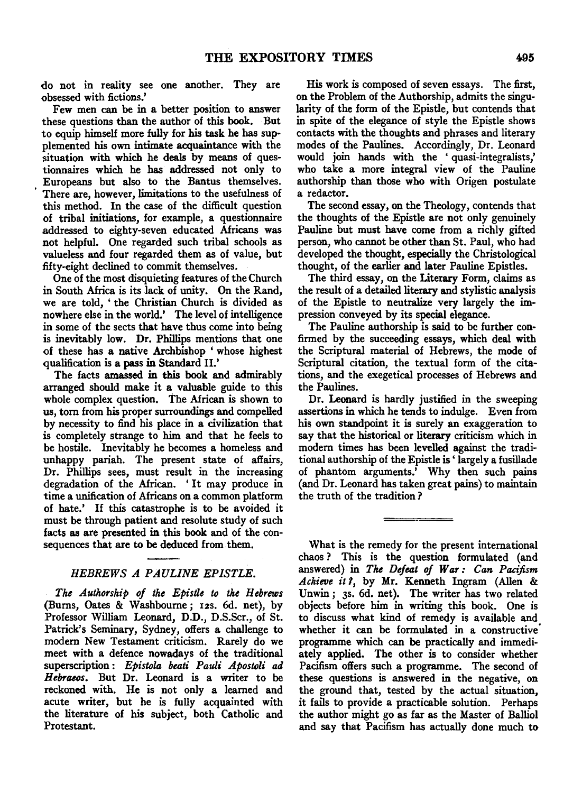do not in reality see one another. They are obsessed with fictions.'

Few men can be in a better position to answer these questions than the author of this book. But to equip himself more fully for his task he has supplemented his own intimate acquaintance with the situation with which he deals by means of questionnaires which he has addressed not only to Europeans but also to the Bantus themselves. There are, however, limitations to the usefulness of this method. In the case of the difficult question of tribal initiations, for example, a questionnaire addressed to eighty-seven educated Africans was not helpful. One regarded such tribal schools as valueless and four regarded them as of value, but fifty-eight declined to commit themselves.

One of the most disquieting features of the Church in South Africa is its lack of unity. On the Rand, we are told, 'the Christian Church is divided as nowhere else in the world.' The level of intelligence in some of the sects that have thus come into being is inevitably low. Dr. Phillips mentions that one of these has a native Archbishop ' whose highest qualification is a pass in Standard II.'

The facts amassed in this book and admirably arranged should make it a valuable guide to this whole complex question. The African is shown to us, tom from his proper surroundings and compelled by necessity to find his place in a civilization that is completely strange to him and that he feels to be hostile. Inevitably he becomes a homeless and unhappy pariah. The present state of affairs, Dr. Phillips sees, must result in the increasing degradation of the African. ' It may produce in time a unification of Africans on a common platform of hate.' If this catastrophe is to be avoided it must be through patient and resolute study of such facts as are presented in this book and of the consequences that are to be deduced from them.

### *HEBREWS A PAULINE EPISTLE.*

*The Authorship of the Epistle to the Hebrews*  (Burns, Oates & Washbourne; 12s. 6d. net), by Professor William Leonard, D.D., D.S.Scr., of St. Patrick's Seminary, Sydney, offers a challenge to modem New Testament criticism. Rarely do we meet with a defence nowadays of the traditional superscription : *Epistola beati Pauli Apostoli ad Hebraeos.* But Dr. Leonard is a writer to be reckoned with. He is not only a learned and acute writer, but he is fully acquainted with the literature of his subject, both Catholic and Protestant.

His work is composed of seven essays. The first, on the Problem of the Authorship, admits the singularity of the form of the Epistle, but contends that in spite of the elegance of style the Epistle shows contacts with the thoughts and phrases and literary modes of the Paulines. Accordingly, Dr. Leonard would join hands with the ' quasi-integralists,' who take a more integral view of the Pauline authorship than those who with Origen postulate a redactor.

The second essay, on the Theology, contends that the thoughts of the Epistle are not only genuinely Pauline but must have come from a richly gifted person, who cannot be other than St. Paul, who had developed the thought, especially the Christological thought, of the earlier and later Pauline Epistles.

The third essay, on the Literary Form, claims as the result of a detailed literary and stylistic analysis of the Epistle to neutralize very largely the impression conveyed by its special elegance.

The Pauline authorship is said to be further confirmed by the succeeding essays, which deal with the Scriptural material of Hebrews, the mode of Scriptural citation, the textual form of the citations, and the exegetical processes of Hebrews and the Paulines.

Dr. Leonard is hardly justified in the sweeping assertions in which he tends to indulge. Even from his own standpoint it is surely an exaggeration to say that the historical or literary criticism which in modem times has been levelled against the traditional authorship of the Epistle is ' largely a fusillade of phantom arguments.' Why then such pains (and Dr. Leonard has taken great pains) to maintain the truth of the tradition?

What is the remedy for the present international chaos? This is the question formulated (and answered) in *The Defeat of War: Can Pacifism Achieve it* 1, by Mr. Kenneth Ingram (Allen & Unwin; 3s. 6d. net). The writer has two related objects before him in writing this book. One is to discuss what kind of remedy is available and whether it can be formulated in a constructive programme which can be practically and immediately applied. The other is to consider whether Pacifism offers such a programme. The second of these questions is answered in the negative, on the ground that, tested by the actual situation, it fails to provide a practicable solution. Perhaps the author might go as far as the Master of Balliol and say that Pacifism has actually done much to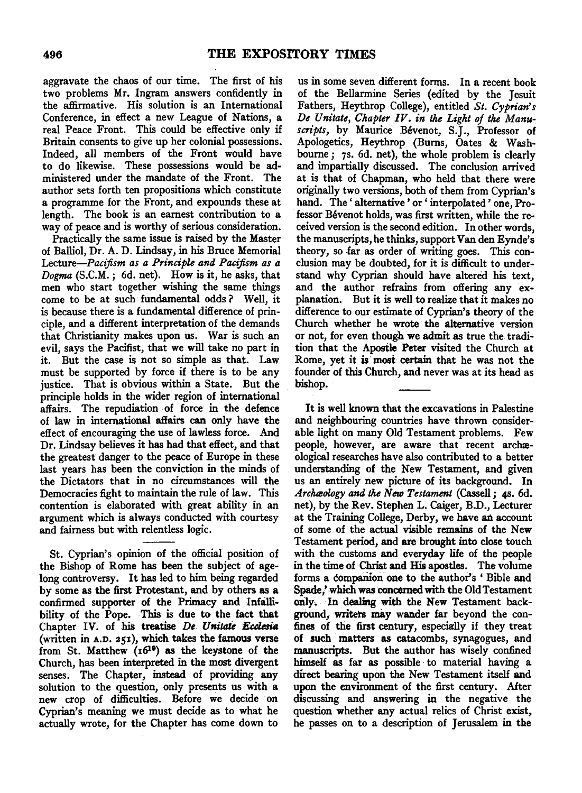aggravate the chaos of our time. The first of his two problems Mr. Ingram answers confidently in the affirmative. His solution is an International Conference, in effect a new League of Nations, a real Peace Front. This could be effective only if Britain consents to give up her colonial possessions. Indeed, all members of the Front would have to do likewise. These possessions would be administered under the mandate of the Front. The author sets forth ten propositions which constitute a programme for the Front, and expounds these at length. The book is an earnest contribution to a way of peace and is worthy of serious consideration.

Practically the same issue is raised by the Master of Balliol, Dr. A. D. Lindsay, in his Bruce Memorial *Lecture-Pacijism as a Principle and Pacifism as a Dogma* (S.C.M. ; 6d. net). How is it, he asks, that men who start together wishing the same things come to be at such fundamental odds? Well, it is because there is a fundamental difference of principle, and a different interpretation of the demands that Christianity makes upon us. War is such an evil, says the Pacifist, that we will take no part in it. But the case is not so simple as that. Law must be supported by force if there is to be any justice. That is obvious within a State. But the principle holds in the wider region of international affairs. The repudiation of force in the defence of law in international affairs can only have the effect of encouraging the use of lawless force. And Dr. Lindsay believes it has had that effect, and that the greatest danger to the peace of Europe in these last years has been the conviction in the minds of the Dictators that in no circumstances will the Democracies fight to maintain the rule of law. This contention is elaborated with great ability in an argument which is always conducted with courtesy and fairness but with relentless logic.

St. Cyprian's opinion of the official position of the Bishop of Rome has been the subject of agelong controversy. It has led to him being regarded by some as the first Protestant, and by others as a confirmed supporter of the Primacy and Infallibility of the Pope. This is due to the fact that Chapter IV. of his treatise *De Unitate Ecclesia* (written in A.D. 251), which takes the famous verse from St. Matthew  $(16^{19})$  as the keystone of the Church, has been interpreted in the most divergent senses. The Chapter, instead of providing any solution to the question, only presents us with a new crop of. difficulties. Before we decide on Cyprian's meaning we must decide as to what he actually wrote, for the Chapter has come down to

us in some seven different forms. In a recent book of the Bellarmine Series (edited by the Jesuit Fathers, Heythrop College), entitled *St. Cyprian's De Unitate, Chapter IV. in the Light of the Manuscripts,* by Maurice Bevenot, S.J., Professor of Apologetics, Heythrop (Bums, Oates & Washboume; 7s. 6d. net), the whole problem is clearly and impartially discussed. The conclusion arrived at is that of Chapman, who held that there were originally two versions, both of them from Cyprian's hand. The ' alternative ' or ' interpolated ' one, Professor Bévenot holds, was first written, while the received version is the second edition. In other words, the manuscripts, he thinks, support Van den Eynde's theory, so far as order of writing goes. This conclusion may be doubted, for it is difficult to understand why Cyprian should have altered his text, and the author refrains from offering any explanation. But it is well to realize that it makes no difference to our estimate of Cyprian's theory of the Church whether he wrote the alternative version or not, for even though we admit as true the tradition that the Apostle Peter visited the Church at Rome, yet it is· most certain that he was not the founder of this Church, and never was at its head as bishop.

It is well known that the excavations in Palestine and neighbouring countries have thrown considerable light on many Old Testament problems. Few people, however, are aware that recent archaeological researches have also contributed to a better understanding of the New Testament, and given us an entirely new picture of its background. In Archæology and the New Testament (Cassell; 4s. 6d. net), by the Rev. Stephen L. Caiger, B.D., Lecturer at the Training College, Derby, we have an account of some of the actual visible remains of the New Testament period, and are brought into close touch with the customs and everyday life of the people in the time of Christ and His apostles. The volume forms a companion one to the author's 'Bible and Spade/ which was concerned with the Old Testament orily. In dealing with the New Testament background, writers may wander far beyond the confines of the first century, especially if they treat of such matters as catacombs, synagogues, and manuscripts. But the author has wisely confined himself as far as possible to material having a direct bearing upon the New Testament itself and upon the environment of the first century. After discussing and answering in the negative the question whether any actual relics of Christ exist, he passes on to a description of Jerusalem in the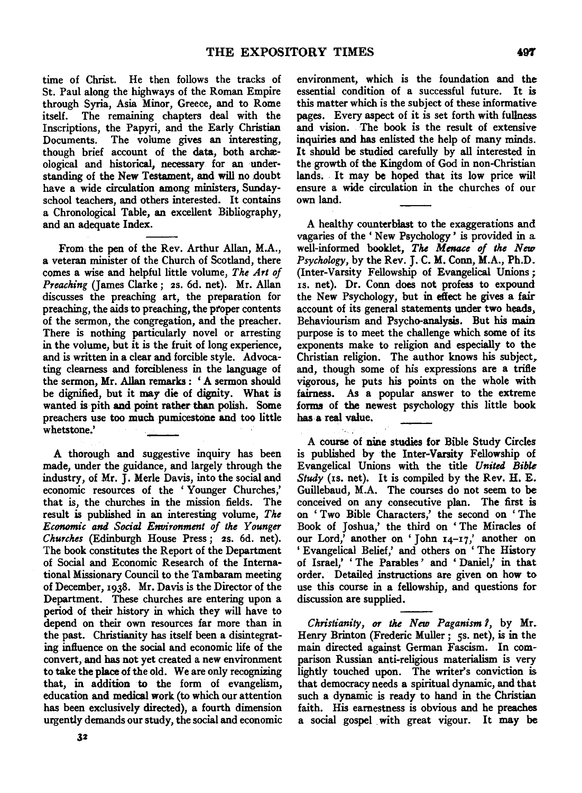time of Christ. He then follows the tracks of St. Paul along the highways of the Roman Empire through Syria, Asia Minor, Greece, and to Rome itself. The remaining chapters deal with the Inscriptions, the Papyri, and the Early Christian Documents. The volume gives an interesting, though brief account of the data, both archaeological and historical, necessary for an understanding of the New Testament, and will no doubt have a wide circulation among ministers, Sundayschool teachers, and others interested. It contains a Chronological Table, an excellent Bibliography, and an adequate Index.

From the pen of the Rev. Arthur Allan, M.A., a veteran minister of the Church of Scotland, there comes a wise and helpful little volume, *The Art of Preaching* (James Clarke; 2s. 6d. net). Mr. Allan discusses the preaching art, the preparation for preaching, the aids to preaching, the proper contents of the sermon, the congregation, and the preacher. There is nothing particularly novel or arresting in the volume, but it is the fruit of long experience, and is written in a clear and forcible style. Advocating clearness and forcibleness in the language of the sermon, Mr. Allan remarks: 'A sermon should be dignified, but it may die of dignity. What is wanted is pith and point rather than polish. Some preachers use too much pumicestone and too little whetstone.'

A thorough and suggestive inquiry has been made, under the guidance, and largely through the industry, of Mr. J. Merle Davis, into the social and economic resources of the ' Younger Churches,' that is, the churches in the mission fields. The result is published in an interesting volume, *The Economic and Social Environment of the Younger Churches* (Edinburgh House Press; 2s. 6d. net). The book constitutes the Report of the Department of Social and Economic Research of the International Missionary Council to the Tambaram meeting of December, 1938. Mr. Davis is the Director of the Department. These churches are entering upon a period of their history in which they will have to depend on their own resources far more than in the past. Christianity has itself been a disintegrating influence on the social and economic life of the convert, and has not yet created a new environment to take the place of the old. We are only recognizing that, in addition to the form of evangelism, education and medical work (to which our attention has been exclusively directed), a fourth dimension urgently demands our study, the social and economic

environment, which is the foundation and the essential condition of a successful future. It is this matter which is the subject of these informative pages. Every aspect of it is set forth with fullness and vision. The book is the result of extensive inquiries and has enlisted the help of many minds. It should be studied carefully by all interested in the growth of the Kingdom of God in non-Christian lands. It may be hoped that its low price will ensure a wide circulation in the churches of our own land.

A healthy counterblast to the exaggerations and vagaries of the ' New Psychology ' is provided in a well-informed booklet, *The Menace of the New Psychology,* by the Rev. J.C. M. Conn, M.A., Ph.D. (Inter-Varsity Fellowship of Evangelical Unions; is. net). Dr. Conn does not profess to expound the New Psychology, but in effect he gives a fair account of its general statements under two heads, Behaviourism and Psycho-analysis. But his main purpose is to meet the challenge which some of its exponents make to religion and especially to the Christian religion. The author knows his subject, and, though some of his expressions are a trifle vigorous, he puts his points on the whole with fairness. As a popular answer to the extreme forms of the newest psychology this little book has a real value.

A course of nine studies for Bible Study Circles is published by the Inter-Varsity Fellowship of Evangelical Unions with the title *United Bible Study* (is. net). It is compiled by the Rev. H. E. Guillebaud, M.A. The courses do not seem to be conceived on any consecutive plan. The first is on ' Two Bible Characters,' the second on ' The Book of Joshua,' the third on ' The Miracles of our Lord,<sup> $\bar{i}$ </sup> another on 'John  $14-17$ ,' another on 'Evangelical Belief,' and others on 'The History of Israel,' 'The Parables' and 'Daniel,' in that order. Detailed instructions are given on how to use this course in a fellowship, and questions for discussion are supplied.

*Christianity, or the New Paganism 1,* by Mr. Henry Brinton (Frederic Muller; 5s. net), is in the main directed against German Fascism. In comparison Russian anti-religious materialism is very lightly touched upon. The writer's conviction is that democracy needs a spiritual dynamic, and that such a dynamic is ready to hand in the Christian faith. His earnestness is obvious and he preaches a social gospel with great vigour. It may be